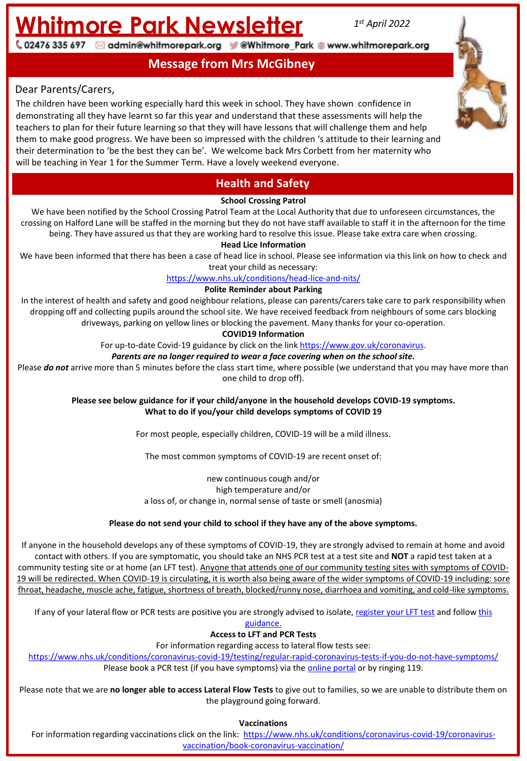# **Whitmore Park Newsletter** *<sup>1</sup>*

*st April 2022*

02476 335 697 ⊠ admin@whitmorepark.org V @Whitmore\_Park @ www.whitmorepark.org

**Message from Mrs McGibney**

#### Dear Parents/Carers,

The children have been working especially hard this week in school. They have shown confidence in demonstrating all they have learnt so far this year and understand that these assessments will help the teachers to plan for their future learning so that they will have lessons that will challenge them and help them to make good progress. We have been so impressed with the children 's attitude to their learning and their determination to 'be the best they can be'. We welcome back Mrs Corbett from her maternity who will be teaching in Year 1 for the Summer Term. Have a lovely weekend everyone.



### **Health and Safety**

#### **School Crossing Patrol**

We have been notified by the School Crossing Patrol Team at the Local Authority that due to unforeseen circumstances, the crossing on Halford Lane will be staffed in the morning but they do not have staff available to staff it in the afternoon for the time being. They have assured us that they are working hard to resolve this issue. Please take extra care when crossing.

**Head Lice Information**

We have been informed that there has been a case of head lice in school. Please see information via this link on how to check and treat your child as necessary:

#### <https://www.nhs.uk/conditions/head-lice-and-nits/>

#### **Polite Reminder about Parking**

In the interest of health and safety and good neighbour relations, please can parents/carers take care to park responsibility when dropping off and collecting pupils around the school site. We have received feedback from neighbours of some cars blocking driveways, parking on yellow lines or blocking the pavement. Many thanks for your co-operation.

#### **COVID19 Information**

For up-to-date Covid-19 guidance by click on the link [https://www.gov.uk/coronavirus.](https://www.gov.uk/coronavirus)

#### *Parents are no longer required to wear a face covering when on the school site.*

Please **do not** arrive more than 5 minutes before the class start time, where possible (we understand that you may have more than one child to drop off).

> **Please see below guidance for if your child/anyone in the household develops COVID-19 symptoms. What to do if you/your child develops symptoms of COVID 19**

> > For most people, especially children, COVID-19 will be a mild illness.

The most common symptoms of COVID-19 are recent onset of:

new continuous cough and/or high temperature and/or a loss of, or change in, normal sense of taste or smell (anosmia)

#### **Please do not send your child to school if they have any of the above symptoms.**

19 will be redirected. When COVID-19 is circulating, it is worth also being aware or the wider symptoms of COVID-19 including. Sore<br>throat, headache, muscle ache, fatigue, shortness of breath, blocked/runny nose, diarrhoea If anyone in the household develops any of these symptoms of COVID-19, they are strongly advised to remain at home and avoid contact with others. If you are symptomatic, you should take an NHS PCR test at a test site and **NOT** a rapid test taken at a community testing site or at home (an LFT test). Anyone that attends one of our community testing sites with symptoms of COVID-19 will be redirected. When COVID-19 is circulating, it is worth also being aware of the wider symptoms of COVID-19 including: sore

If any of your lateral flow or PCR tests are positive you a[re strongly advised to isolate, register your LFT test](https://assets.publishing.service.gov.uk/government/uploads/system/uploads/attachment_data/file/1056991/220224_Schools_guidance.pdf) and follow this

guidance.

#### **Access to LFT and PCR Tests**

For information regarding access to lateral flow tests see:

<https://www.nhs.uk/conditions/coronavirus-covid-19/testing/regular-rapid-coronavirus-tests-if-you-do-not-have-symptoms/> Please book a PCR test (if you have symptoms) via the **online portal** or by ringing 119.

Please note that we are **no longer able to access Lateral Flow Tests** to give out to families, so we are unable to distribute them on the playground going forward.

**Vaccinations**

For information regarding vaccinations [click on the link: https://www.nhs.uk/conditions/coronavirus-covid-19/coronavirus](https://www.nhs.uk/conditions/coronavirus-covid-19/coronavirus-vaccination/book-coronavirus-vaccination/)vaccination/book-coronavirus-vaccination/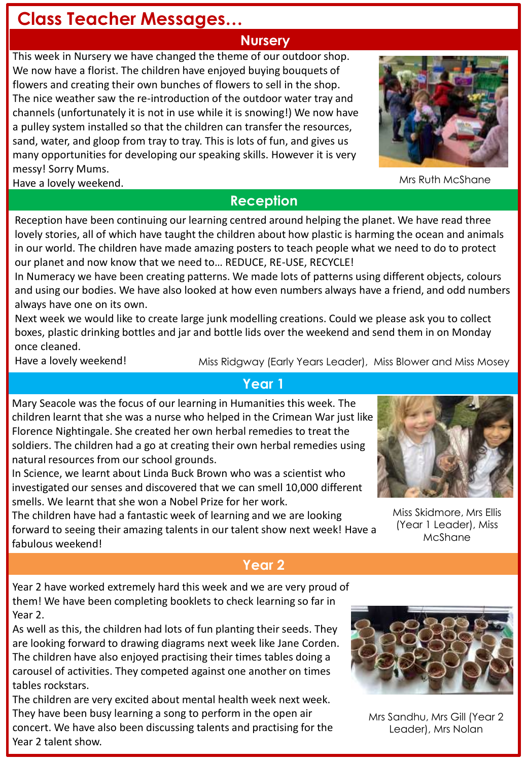## **Class Teacher Messages…**

### **Nursery**

This week in Nursery we have changed the theme of our outdoor shop. We now have a florist. The children have enjoyed buying bouquets of flowers and creating their own bunches of flowers to sell in the shop. The nice weather saw the re-introduction of the outdoor water tray and channels (unfortunately it is not in use while it is snowing!) We now have a pulley system installed so that the children can transfer the resources, sand, water, and gloop from tray to tray. This is lots of fun, and gives us many opportunities for developing our speaking skills. However it is very messy! Sorry Mums. Have a lovely weekend.

**Reception**

Reception have been continuing our learning centred around helping the planet. We have read three lovely stories, all of which have taught the children about how plastic is harming the ocean and animals in our world. The children have made amazing posters to teach people what we need to do to protect our planet and now know that we need to… REDUCE, RE-USE, RECYCLE!

In Numeracy we have been creating patterns. We made lots of patterns using different objects, colours and using our bodies. We have also looked at how even numbers always have a friend, and odd numbers always have one on its own.

Next week we would like to create large junk modelling creations. Could we please ask you to collect boxes, plastic drinking bottles and jar and bottle lids over the weekend and send them in on Monday once cleaned.

Have a lovely weekend!

Miss Ridgway (Early Years Leader), Miss Blower and Miss Mosey

### **Year 1**

Mary Seacole was the focus of our learning in Humanities this week. The children learnt that she was a nurse who helped in the Crimean War just like Florence Nightingale. She created her own herbal remedies to treat the soldiers. The children had a go at creating their own herbal remedies using natural resources from our school grounds.

In Science, we learnt about Linda Buck Brown who was a scientist who investigated our senses and discovered that we can smell 10,000 different smells. We learnt that she won a Nobel Prize for her work.

The children have had a fantastic week of learning and we are looking forward to seeing their amazing talents in our talent show next week! Have a fabulous weekend!

## **Year 2**

Year 2 have worked extremely hard this week and we are very proud of them! We have been completing booklets to check learning so far in Year 2.

As well as this, the children had lots of fun planting their seeds. They are looking forward to drawing diagrams next week like Jane Corden. The children have also enjoyed practising their times tables doing a carousel of activities. They competed against one another on times tables rockstars.

The children are very excited about mental health week next week. They have been busy learning a song to perform in the open air concert. We have also been discussing talents and practising for the Year 2 talent show.

Mrs Sandhu, Mrs Gill (Year 2 Leader), Mrs Nolan



Miss Skidmore, Mrs Ellis (Year 1 Leader), Miss McShane





Mrs Ruth McShane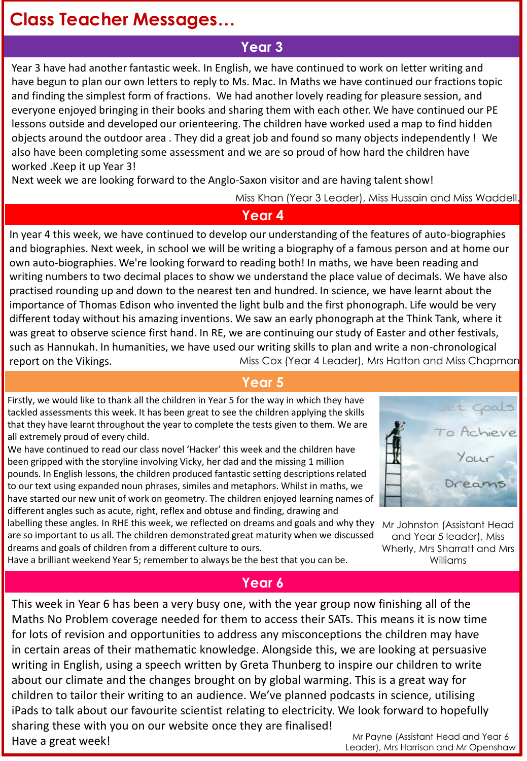## **Class Teacher Messages…**

## **Year 3**

Year 3 have had another fantastic week. In English, we have continued to work on letter writing and have begun to plan our own letters to reply to Ms. Mac. In Maths we have continued our fractions topic and finding the simplest form of fractions. We had another lovely reading for pleasure session, and everyone enjoyed bringing in their books and sharing them with each other. We have continued our PE lessons outside and developed our orienteering. The children have worked used a map to find hidden objects around the outdoor area . They did a great job and found so many objects independently ! We also have been completing some assessment and we are so proud of how hard the children have worked .Keep it up Year 3!

Next week we are looking forward to the Anglo-Saxon visitor and are having talent show!

Miss Khan (Year 3 Leader), Miss Hussain and Miss Waddell.

#### **Year 4**

Miss Cox (Year 4 Leader), Mrs Hatton and Miss Chapman In year 4 this week, we have continued to develop our understanding of the features of auto-biographies and biographies. Next week, in school we will be writing a biography of a famous person and at home our own auto-biographies. We're looking forward to reading both! In maths, we have been reading and writing numbers to two decimal places to show we understand the place value of decimals. We have also practised rounding up and down to the nearest ten and hundred. In science, we have learnt about the importance of Thomas Edison who invented the light bulb and the first phonograph. Life would be very different today without his amazing inventions. We saw an early phonograph at the Think Tank, where it was great to observe science first hand. In RE, we are continuing our study of Easter and other festivals, such as Hannukah. In humanities, we have used our writing skills to plan and write a non-chronological report on the Vikings.

#### **Year 5**

Firstly, we would like to thank all the children in Year 5 for the way in which they have tackled assessments this week. It has been great to see the children applying the skills that they have learnt throughout the year to complete the tests given to them. We are all extremely proud of every child.

We have continued to read our class novel 'Hacker' this week and the children have been gripped with the storyline involving Vicky, her dad and the missing 1 million pounds. In English lessons, the children produced fantastic setting descriptions related to our text using expanded noun phrases, similes and metaphors. Whilst in maths, we have started our new unit of work on geometry. The children enjoyed learning names of different angles such as acute, right, reflex and obtuse and finding, drawing and

labelling these angles. In RHE this week, we reflected on dreams and goals and why they are so important to us all. The children demonstrated great maturity when we discussed dreams and goals of children from a different culture to ours.



Mr Johnston (Assistant Head and Year 5 leader), Miss Wherly, Mrs Sharratt and Mrs Williams

Have a brilliant weekend Year 5; remember to always be the best that you can be.

#### **Year 6**

Mr Payne (Assistant Head and Year 6 This week in Year 6 has been a very busy one, with the year group now finishing all of the Maths No Problem coverage needed for them to access their SATs. This means it is now time for lots of revision and opportunities to address any misconceptions the children may have in certain areas of their mathematic knowledge. Alongside this, we are looking at persuasive writing in English, using a speech written by Greta Thunberg to inspire our children to write about our climate and the changes brought on by global warming. This is a great way for children to tailor their writing to an audience. We've planned podcasts in science, utilising iPads to talk about our favourite scientist relating to electricity. We look forward to hopefully sharing these with you on our website once they are finalised! Have a great week!

Leader), Mrs Harrison and Mr Openshaw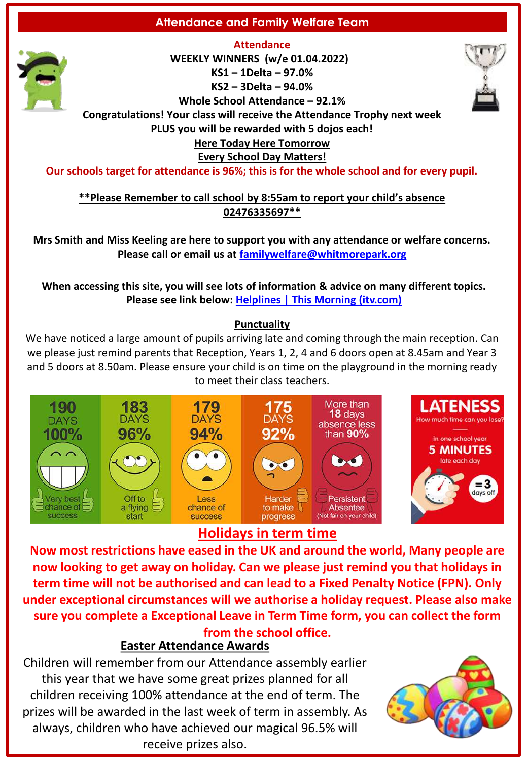#### **Attendance and Family Welfare Team**



**Attendance WEEKLY WINNERS (w/e 01.04.2022) KS1 – 1Delta – 97.0% KS2 – 3Delta – 94.0% Whole School Attendance – 92.1%**



**Congratulations! Your class will receive the Attendance Trophy next week** 

**PLUS you will be rewarded with 5 dojos each!**

#### **Here Today Here Tomorrow**

**Every School Day Matters!**

**Our schools target for attendance is 96%; this is for the whole school and for every pupil.**

**\*\*Please Remember to call school by 8:55am to report your child's absence 02476335697\*\***

**Mrs Smith and Miss Keeling are here to support you with any attendance or welfare concerns. Please call or email us at [familywelfare@whitmorepark.org](mailto:familywelfare@whitmorepark.org)**

**When accessing this site, you will see lots of information & advice on many different topics. Please see link below: [Helplines | This Morning \(itv.com\)](https://www.itv.com/thismorning/articles/helplines)**

#### **Punctuality**

We have noticed a large amount of pupils arriving late and coming through the main reception. Can we please just remind parents that Reception, Years 1, 2, 4 and 6 doors open at 8.45am and Year 3 and 5 doors at 8.50am. Please ensure your child is on time on the playground in the morning ready to meet their class teachers.



## **Holidays in term time**

**Now most restrictions have eased in the UK and around the world, Many people are now looking to get away on holiday. Can we please just remind you that holidays in term time will not be authorised and can lead to a Fixed Penalty Notice (FPN). Only under exceptional circumstances will we authorise a holiday request. Please also make sure you complete a Exceptional Leave in Term Time form, you can collect the form from the school office.** 

#### **Easter Attendance Awards**

Children will remember from our Attendance assembly earlier this year that we have some great prizes planned for all children receiving 100% attendance at the end of term. The prizes will be awarded in the last week of term in assembly. As always, children who have achieved our magical 96.5% will receive prizes also.

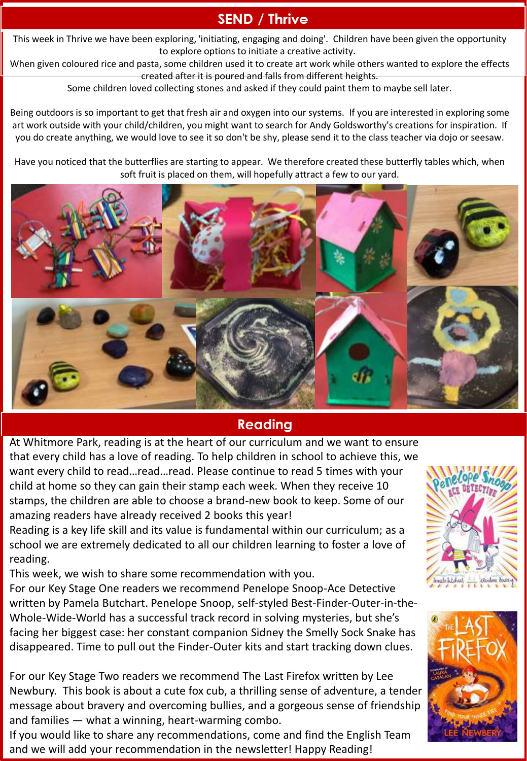## **SEND / Thrive**

This week in Thrive we have been exploring, 'initiating, engaging and doing'. Children have been given the opportunity to explore options to initiate a creative activity.

When given coloured rice and pasta, some children used it to create art work while others wanted to explore the effects created after it is poured and falls from different heights.

Some children loved collecting stones and asked if they could paint them to maybe sell later.

Being outdoors is so important to get that fresh air and oxygen into our systems. If you are interested in exploring some art work outside with your child/children, you might want to search for Andy Goldsworthy's creations for inspiration. If you do create anything, we would love to see it so don't be shy, please send it to the class teacher via dojo or seesaw.

Have you noticed that the butterflies are starting to appear. We therefore created these butterfly tables which, when soft fruit is placed on them, will hopefully attract a few to our yard.



## **Reading**

At Whitmore Park, reading is at the heart of our curriculum and we want to ensure that every child has a love of reading. To help children in school to achieve this, we want every child to read…read…read. Please continue to read 5 times with your child at home so they can gain their stamp each week. When they receive 10 stamps, the children are able to choose a brand-new book to keep. Some of our amazing readers have already received 2 books this year!

Reading is a key life skill and its value is fundamental within our curriculum; as a school we are extremely dedicated to all our children learning to foster a love of reading.

This week, we wish to share some recommendation with you.

For our Key Stage One readers we recommend Penelope Snoop-Ace Detective written by Pamela Butchart. Penelope Snoop, self-styled Best-Finder-Outer-in-the-Whole-Wide-World has a successful track record in solving mysteries, but she's facing her biggest case: her constant companion Sidney the Smelly Sock Snake has disappeared. Time to pull out the Finder-Outer kits and start tracking down clues.

For our Key Stage Two readers we recommend The Last Firefox written by Lee Newbury. This book is about a cute fox cub, a thrilling sense of adventure, a tender message about bravery and overcoming bullies, and a gorgeous sense of friendship and families — what a winning, heart-warming combo.

If you would like to share any recommendations, come and find the English Team and we will add your recommendation in the newsletter! Happy Reading!



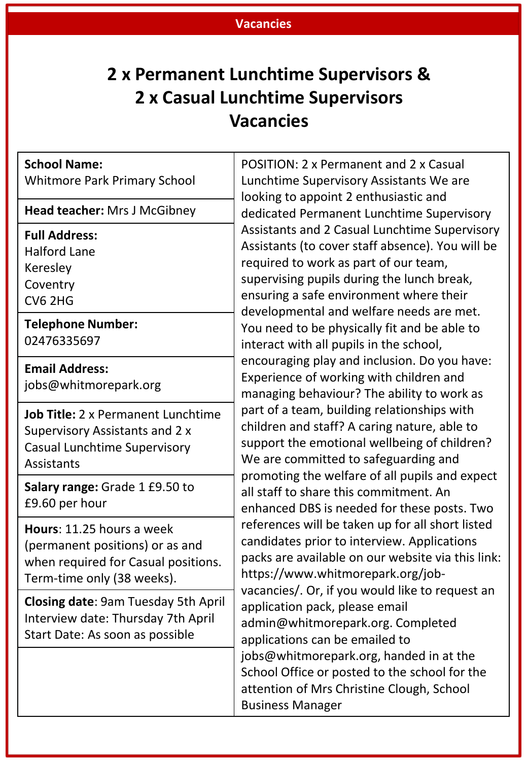#### **Vacancies**

## **2 x Permanent Lunchtime Supervisors & 2 x Casual Lunchtime Supervisors Vacancies**

#### **School Name:**

Whitmore Park Primary School

**Head teacher:** Mrs J McGibney

#### **Full Address:**

Halford Lane Keresley **Coventry** CV6 2HG

**Telephone Number:**  02476335697

**Email Address:**  jobs@whitmorepark.org

**Job Title:** 2 x Permanent Lunchtime Supervisory Assistants and 2 x Casual Lunchtime Supervisory Assistants

**Salary range:** Grade 1 £9.50 to £9.60 per hour

**Hours**: 11.25 hours a week (permanent positions) or as and when required for Casual positions. Term-time only (38 weeks).

**Closing date**: 9am Tuesday 5th April Interview date: Thursday 7th April Start Date: As soon as possible

POSITION: 2 x Permanent and 2 x Casual Lunchtime Supervisory Assistants We are looking to appoint 2 enthusiastic and dedicated Permanent Lunchtime Supervisory Assistants and 2 Casual Lunchtime Supervisory Assistants (to cover staff absence). You will be required to work as part of our team, supervising pupils during the lunch break, ensuring a safe environment where their developmental and welfare needs are met. You need to be physically fit and be able to interact with all pupils in the school, encouraging play and inclusion. Do you have: Experience of working with children and managing behaviour? The ability to work as part of a team, building relationships with children and staff? A caring nature, able to support the emotional wellbeing of children? We are committed to safeguarding and promoting the welfare of all pupils and expect all staff to share this commitment. An enhanced DBS is needed for these posts. Two references will be taken up for all short listed candidates prior to interview. Applications packs are available on our website via this link: https://www.whitmorepark.org/jobvacancies/. Or, if you would like to request an application pack, please email admin@whitmorepark.org. Completed applications can be emailed to jobs@whitmorepark.org, handed in at the School Office or posted to the school for the attention of Mrs Christine Clough, School Business Manager